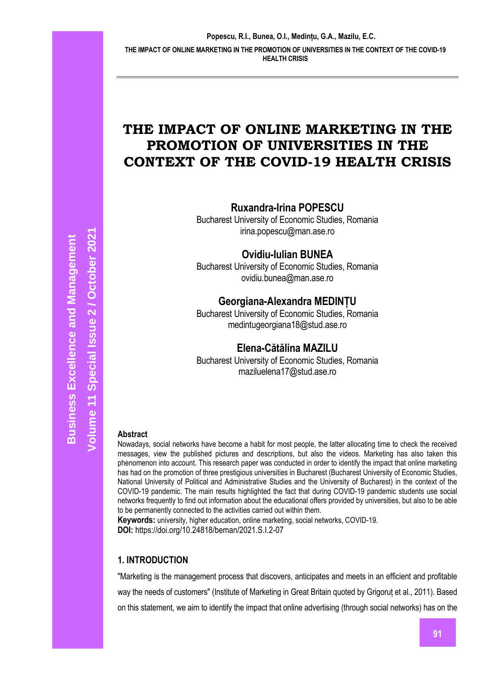# **THE IMPACT OF ONLINE MARKETING IN THE PROMOTION OF UNIVERSITIES IN THE CONTEXT OF THE COVID-19 HEALTH CRISIS**

**Ruxandra-Irina POPESCU**

Bucharest University of Economic Studies, Romania irina.popescu@man.ase.ro

**Ovidiu-Iulian BUNEA**

Bucharest University of Economic Studies, Romania ovidiu.bunea@man.ase.ro

## **Georgiana-Alexandra MEDINȚU**

Bucharest University of Economic Studies, Romania medintugeorgiana18@stud.ase.ro

## **Elena-Cătălina MAZILU**

Bucharest University of Economic Studies, Romania maziluelena17@stud.ase.ro

## **Abstract**

Nowadays, social networks have become a habit for most people, the latter allocating time to check the received messages, view the published pictures and descriptions, but also the videos. Marketing has also taken this phenomenon into account. This research paper was conducted in order to identify the impact that online marketing has had on the promotion of three prestigious universities in Bucharest (Bucharest University of Economic Studies, National University of Political and Administrative Studies and the University of Bucharest) in the context of the COVID-19 pandemic. The main results highlighted the fact that during COVID-19 pandemic students use social networks frequently to find out information about the educational offers provided by universities, but also to be able to be permanently connected to the activities carried out within them.

**Keywords:** university, higher education, online marketing, social networks, COVID-19. **DOI:** https://doi.org/10.24818/beman/2021.S.I.2-07

## **1. INTRODUCTION**

"Marketing is the management process that discovers, anticipates and meets in an efficient and profitable way the needs of customers" (Institute of Marketing in Great Britain quoted by Grigoruț et al., 2011). Based on this statement, we aim to identify the impact that online advertising (through social networks) has on the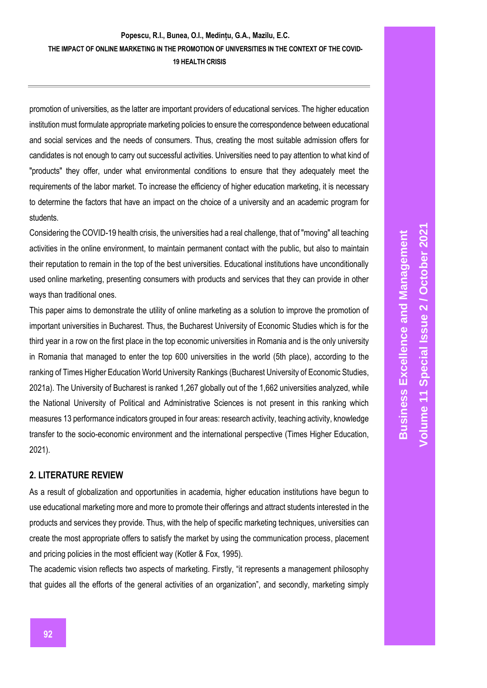promotion of universities, as the latter are important providers of educational services. The higher education institution must formulate appropriate marketing policies to ensure the correspondence between educational and social services and the needs of consumers. Thus, creating the most suitable admission offers for candidates is not enough to carry out successful activities. Universities need to pay attention to what kind of "products" they offer, under what environmental conditions to ensure that they adequately meet the requirements of the labor market. To increase the efficiency of higher education marketing, it is necessary to determine the factors that have an impact on the choice of a university and an academic program for students.

Considering the COVID-19 health crisis, the universities had a real challenge, that of "moving" all teaching activities in the online environment, to maintain permanent contact with the public, but also to maintain their reputation to remain in the top of the best universities. Educational institutions have unconditionally used online marketing, presenting consumers with products and services that they can provide in other ways than traditional ones.

This paper aims to demonstrate the utility of online marketing as a solution to improve the promotion of important universities in Bucharest. Thus, the Bucharest University of Economic Studies which is for the third year in a row on the first place in the top economic universities in Romania and is the only university in Romania that managed to enter the top 600 universities in the world (5th place), according to the ranking of Times Higher Education World University Rankings (Bucharest University of Economic Studies, 2021a). The University of Bucharest is ranked 1,267 globally out of the 1,662 universities analyzed, while the National University of Political and Administrative Sciences is not present in this ranking which measures 13 performance indicators grouped in four areas: research activity, teaching activity, knowledge transfer to the socio-economic environment and the international perspective (Times Higher Education, 2021).

## **2. LITERATURE REVIEW**

As a result of globalization and opportunities in academia, higher education institutions have begun to use educational marketing more and more to promote their offerings and attract students interested in the products and services they provide. Thus, with the help of specific marketing techniques, universities can create the most appropriate offers to satisfy the market by using the communication process, placement and pricing policies in the most efficient way (Kotler & Fox, 1995).

The academic vision reflects two aspects of marketing. Firstly, "it represents a management philosophy that guides all the efforts of the general activities of an organization", and secondly, marketing simply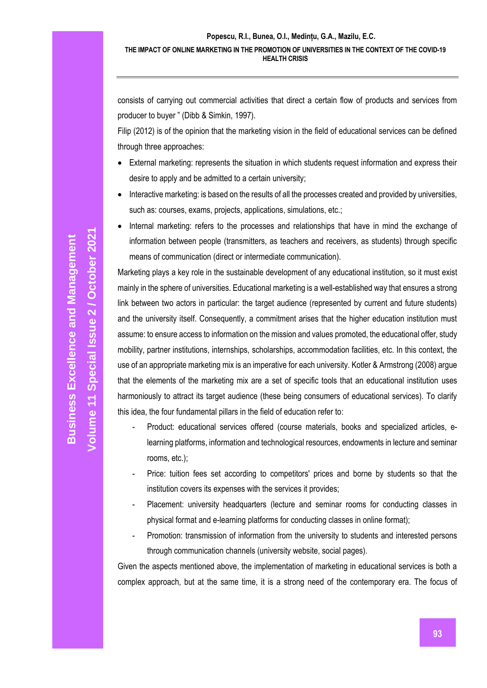consists of carrying out commercial activities that direct a certain flow of products and services from producer to buyer " (Dibb & Simkin, 1997).

Filip (2012) is of the opinion that the marketing vision in the field of educational services can be defined through three approaches:

- External marketing: represents the situation in which students request information and express their desire to apply and be admitted to a certain university;
- Interactive marketing: is based on the results of all the processes created and provided by universities, such as: courses, exams, projects, applications, simulations, etc.;
- Internal marketing: refers to the processes and relationships that have in mind the exchange of information between people (transmitters, as teachers and receivers, as students) through specific means of communication (direct or intermediate communication).

Marketing plays a key role in the sustainable development of any educational institution, so it must exist mainly in the sphere of universities. Educational marketing is a well-established way that ensures a strong link between two actors in particular: the target audience (represented by current and future students) and the university itself. Consequently, a commitment arises that the higher education institution must assume: to ensure access to information on the mission and values promoted, the educational offer, study mobility, partner institutions, internships, scholarships, accommodation facilities, etc. In this context, the use of an appropriate marketing mix is an imperative for each university. Kotler & Armstrong (2008) argue that the elements of the marketing mix are a set of specific tools that an educational institution uses harmoniously to attract its target audience (these being consumers of educational services). To clarify this idea, the four fundamental pillars in the field of education refer to:

- Product: educational services offered (course materials, books and specialized articles, elearning platforms, information and technological resources, endowments in lecture and seminar rooms, etc.);
- Price: tuition fees set according to competitors' prices and borne by students so that the institution covers its expenses with the services it provides;
- Placement: university headquarters (lecture and seminar rooms for conducting classes in physical format and e-learning platforms for conducting classes in online format);
- Promotion: transmission of information from the university to students and interested persons through communication channels (university website, social pages).

Given the aspects mentioned above, the implementation of marketing in educational services is both a complex approach, but at the same time, it is a strong need of the contemporary era. The focus of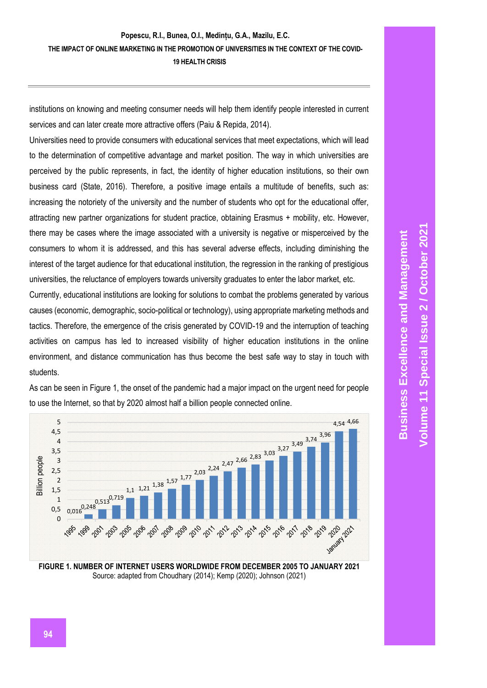institutions on knowing and meeting consumer needs will help them identify people interested in current services and can later create more attractive offers (Paiu & Repida, 2014).

Universities need to provide consumers with educational services that meet expectations, which will lead to the determination of competitive advantage and market position. The way in which universities are perceived by the public represents, in fact, the identity of higher education institutions, so their own business card (State, 2016). Therefore, a positive image entails a multitude of benefits, such as: increasing the notoriety of the university and the number of students who opt for the educational offer, attracting new partner organizations for student practice, obtaining Erasmus + mobility, etc. However, there may be cases where the image associated with a university is negative or misperceived by the consumers to whom it is addressed, and this has several adverse effects, including diminishing the interest of the target audience for that educational institution, the regression in the ranking of prestigious universities, the reluctance of employers towards university graduates to enter the labor market, etc.

Currently, educational institutions are looking for solutions to combat the problems generated by various causes (economic, demographic, socio-political or technology), using appropriate marketing methods and tactics. Therefore, the emergence of the crisis generated by COVID-19 and the interruption of teaching activities on campus has led to increased visibility of higher education institutions in the online environment, and distance communication has thus become the best safe way to stay in touch with students.



As can be seen in Figure 1, the onset of the pandemic had a major impact on the urgent need for people to use the Internet, so that by 2020 almost half a billion people connected online.

**FIGURE 1. NUMBER OF INTERNET USERS WORLDWIDE FROM DECEMBER 2005 TO JANUARY 2021** Source: adapted from Choudhary (2014); Kemp (2020); Johnson (2021)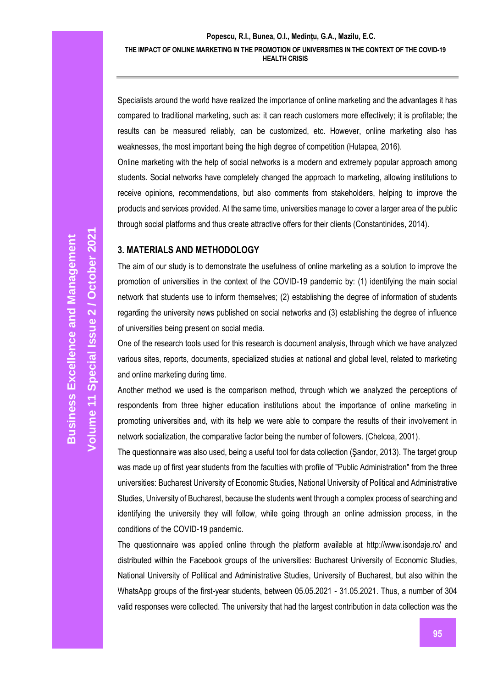Specialists around the world have realized the importance of online marketing and the advantages it has compared to traditional marketing, such as: it can reach customers more effectively; it is profitable; the results can be measured reliably, can be customized, etc. However, online marketing also has weaknesses, the most important being the high degree of competition (Hutapea, 2016).

Online marketing with the help of social networks is a modern and extremely popular approach among students. Social networks have completely changed the approach to marketing, allowing institutions to receive opinions, recommendations, but also comments from stakeholders, helping to improve the products and services provided. At the same time, universities manage to cover a larger area of the public through social platforms and thus create attractive offers for their clients (Constantinides, 2014).

#### **3. MATERIALS AND METHODOLOGY**

The aim of our study is to demonstrate the usefulness of online marketing as a solution to improve the promotion of universities in the context of the COVID-19 pandemic by: (1) identifying the main social network that students use to inform themselves; (2) establishing the degree of information of students regarding the university news published on social networks and (3) establishing the degree of influence of universities being present on social media.

One of the research tools used for this research is document analysis, through which we have analyzed various sites, reports, documents, specialized studies at national and global level, related to marketing and online marketing during time.

Another method we used is the comparison method, through which we analyzed the perceptions of respondents from three higher education institutions about the importance of online marketing in promoting universities and, with its help we were able to compare the results of their involvement in network socialization, the comparative factor being the number of followers. (Chelcea, 2001).

The questionnaire was also used, being a useful tool for data collection (Şandor, 2013). The target group was made up of first year students from the faculties with profile of "Public Administration" from the three universities: Bucharest University of Economic Studies, National University of Political and Administrative Studies, University of Bucharest, because the students went through a complex process of searching and identifying the university they will follow, while going through an online admission process, in the conditions of the COVID-19 pandemic.

The questionnaire was applied online through the platform available at http://www.isondaje.ro/ and distributed within the Facebook groups of the universities: Bucharest University of Economic Studies, National University of Political and Administrative Studies, University of Bucharest, but also within the WhatsApp groups of the first-year students, between 05.05.2021 - 31.05.2021. Thus, a number of 304 valid responses were collected. The university that had the largest contribution in data collection was the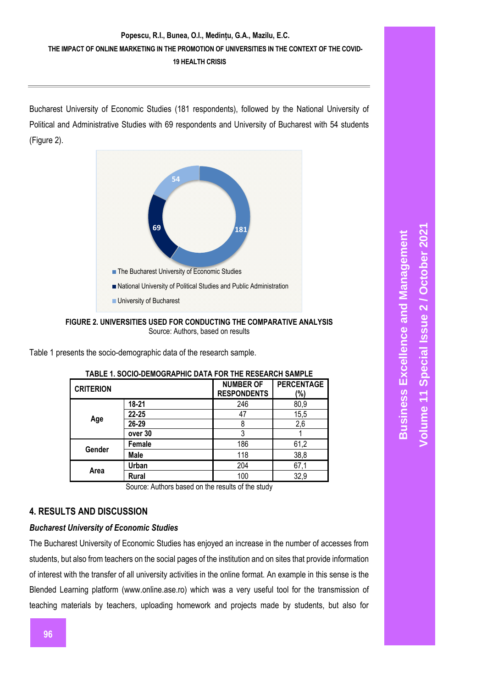Bucharest University of Economic Studies (181 respondents), followed by the National University of Political and Administrative Studies with 69 respondents and University of Bucharest with 54 students (Figure 2).



**FIGURE 2. UNIVERSITIES USED FOR CONDUCTING THE COMPARATIVE ANALYSIS**  Source: Authors, based on results

Table 1 presents the socio-demographic data of the research sample.

| IADLE I. JUULU-DEINUUNAFMU DATA FUN THE NEJEANUM JAINFLE |              |                                        |                          |  |
|----------------------------------------------------------|--------------|----------------------------------------|--------------------------|--|
| <b>CRITERION</b>                                         |              | <b>NUMBER OF</b><br><b>RESPONDENTS</b> | <b>PERCENTAGE</b><br>(%) |  |
| Age                                                      | $18 - 21$    | 246                                    | 80,9                     |  |
|                                                          | $22 - 25$    | 47                                     | 15,5                     |  |
|                                                          | 26-29        | 8                                      | 2,6                      |  |
|                                                          | over 30      | 3                                      |                          |  |
| Gender                                                   | Female       | 186                                    | 61,2                     |  |
|                                                          | Male         | 118                                    | 38,8                     |  |
| Area                                                     | Urban        | 204                                    | 67,1                     |  |
|                                                          | <b>Rural</b> | 100                                    | 32,9                     |  |

#### **TABLE 1. SOCIO-DEMOGRAPHIC DATA FOR THE RESEARCH SAMPLE**

Source: Authors based on the results of the study

#### **4. RESULTS AND DISCUSSION**

#### *Bucharest University of Economic Studies*

The Bucharest University of Economic Studies has enjoyed an increase in the number of accesses from students, but also from teachers on the social pages of the institution and on sites that provide information of interest with the transfer of all university activities in the online format. An example in this sense is the Blended Learning platform (www.online.ase.ro) which was a very useful tool for the transmission of teaching materials by teachers, uploading homework and projects made by students, but also for

**Business Excellence and Management**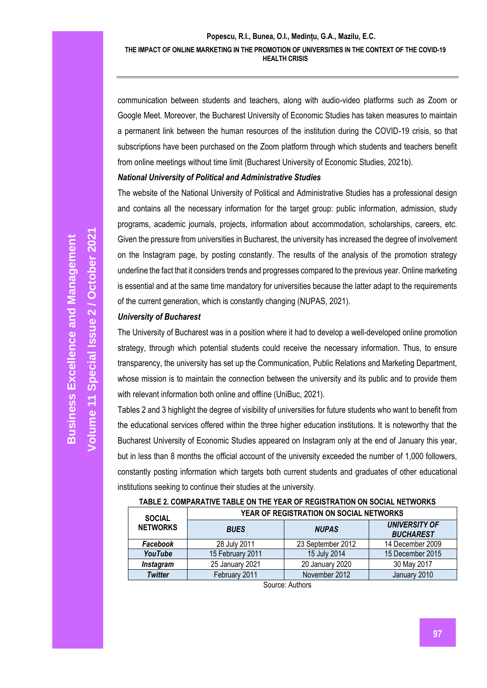communication between students and teachers, along with audio-video platforms such as Zoom or Google Meet. Moreover, the Bucharest University of Economic Studies has taken measures to maintain a permanent link between the human resources of the institution during the COVID-19 crisis, so that subscriptions have been purchased on the Zoom platform through which students and teachers benefit from online meetings without time limit (Bucharest University of Economic Studies, 2021b).

#### *National University of Political and Administrative Studies*

The website of the National University of Political and Administrative Studies has a professional design and contains all the necessary information for the target group: public information, admission, study programs, academic journals, projects, information about accommodation, scholarships, careers, etc. Given the pressure from universities in Bucharest, the university has increased the degree of involvement on the Instagram page, by posting constantly. The results of the analysis of the promotion strategy underline the fact that it considers trends and progresses compared to the previous year. Online marketing is essential and at the same time mandatory for universities because the latter adapt to the requirements of the current generation, which is constantly changing (NUPAS, 2021).

#### *University of Bucharest*

The University of Bucharest was in a position where it had to develop a well-developed online promotion strategy, through which potential students could receive the necessary information. Thus, to ensure transparency, the university has set up the Communication, Public Relations and Marketing Department, whose mission is to maintain the connection between the university and its public and to provide them with relevant information both online and offline (UniBuc, 2021).

Tables 2 and 3 highlight the degree of visibility of universities for future students who want to benefit from the educational services offered within the three higher education institutions. It is noteworthy that the Bucharest University of Economic Studies appeared on Instagram only at the end of January this year, but in less than 8 months the official account of the university exceeded the number of 1,000 followers, constantly posting information which targets both current students and graduates of other educational institutions seeking to continue their studies at the university.

| <b>SOCIAL</b><br><b>NETWORKS</b> | YEAR OF REGISTRATION ON SOCIAL NETWORKS |                   |                                          |  |
|----------------------------------|-----------------------------------------|-------------------|------------------------------------------|--|
|                                  | <b>BUES</b>                             | <b>NUPAS</b>      | <b>UNIVERSITY OF</b><br><b>BUCHAREST</b> |  |
| Facebook                         | 28 July 2011                            | 23 September 2012 | 14 December 2009                         |  |
| YouTube                          | 15 February 2011                        | 15 July 2014      | 15 December 2015                         |  |
| Instagram                        | 25 January 2021                         | 20 January 2020   | 30 May 2017                              |  |
| <b>Twitter</b>                   | February 2011                           | November 2012     | January 2010                             |  |

## **TABLE 2. COMPARATIVE TABLE ON THE YEAR OF REGISTRATION ON SOCIAL NETWORKS**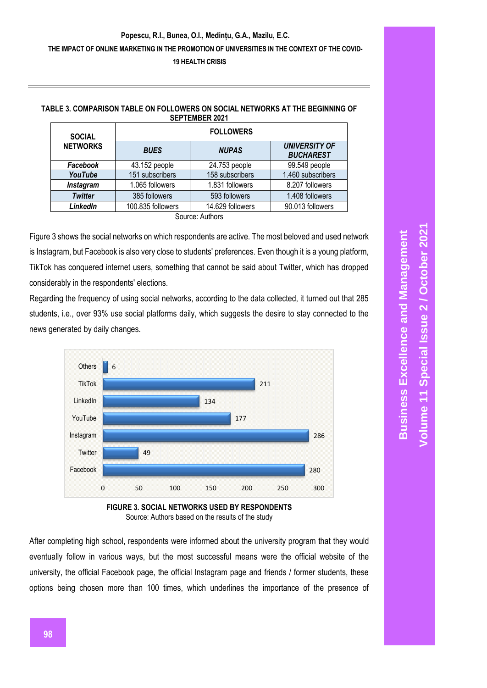| <b>SOCIAL</b><br><b>NETWORKS</b> | <b>FOLLOWERS</b>  |                  |                                          |  |  |
|----------------------------------|-------------------|------------------|------------------------------------------|--|--|
|                                  | <b>BUES</b>       | <b>NUPAS</b>     | <b>UNIVERSITY OF</b><br><b>BUCHAREST</b> |  |  |
| Facebook                         | 43.152 people     | 24.753 people    | 99.549 people                            |  |  |
| YouTube                          | 151 subscribers   | 158 subscribers  | 1.460 subscribers                        |  |  |
| Instagram                        | 1.065 followers   | 1.831 followers  | 8.207 followers                          |  |  |
| <b>Twitter</b>                   | 385 followers     | 593 followers    | 1.408 followers                          |  |  |
| LinkedIn                         | 100.835 followers | 14.629 followers | 90.013 followers                         |  |  |
| Source: Authors                  |                   |                  |                                          |  |  |

#### **TABLE 3. COMPARISON TABLE ON FOLLOWERS ON SOCIAL NETWORKS AT THE BEGINNING OF SEPTEMBER 2021**

Figure 3 shows the social networks on which respondents are active. The most beloved and used network is Instagram, but Facebook is also very close to students' preferences. Even though it is a young platform, TikTok has conquered internet users, something that cannot be said about Twitter, which has dropped considerably in the respondents' elections.

Regarding the frequency of using social networks, according to the data collected, it turned out that 285 students, i.e., over 93% use social platforms daily, which suggests the desire to stay connected to the news generated by daily changes.





After completing high school, respondents were informed about the university program that they would eventually follow in various ways, but the most successful means were the official website of the university, the official Facebook page, the official Instagram page and friends / former students, these options being chosen more than 100 times, which underlines the importance of the presence of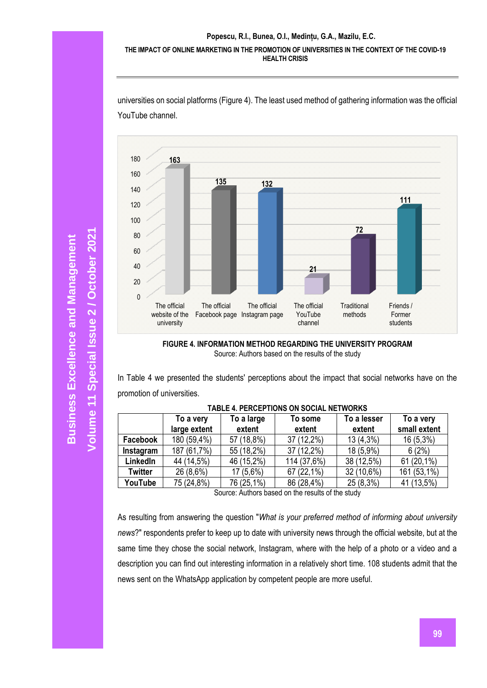

universities on social platforms (Figure 4). The least used method of gathering information was the official YouTube channel.

**FIGURE 4. INFORMATION METHOD REGARDING THE UNIVERSITY PROGRAM** Source: Authors based on the results of the study

In Table 4 we presented the students' perceptions about the impact that social networks have on the promotion of universities.

| והשבב זה בתסבר ווטוזט טוז טטטוהב וזבו ווטוזוט      |              |             |             |             |              |  |
|----------------------------------------------------|--------------|-------------|-------------|-------------|--------------|--|
|                                                    | To a very    | To a large  | To some     | To a lesser | To a very    |  |
|                                                    | large extent | extent      | extent      | extent      | small extent |  |
| Facebook                                           | 180 (59,4%)  | 57 (18,8%)  | 37 (12,2%)  | $13(4,3\%)$ | $16(5,3\%)$  |  |
| Instagram                                          | 187 (61,7%)  | 55 (18,2%)  | 37 (12,2%)  | 18 (5,9%)   | 6(2%)        |  |
| LinkedIn                                           | 44 (14,5%)   | 46 (15,2%)  | 114 (37,6%) | 38 (12,5%)  | 61 (20,1%)   |  |
| <b>Twitter</b>                                     | 26 (8,6%)    | $17(5,6\%)$ | 67 (22,1%)  | 32 (10,6%)  | 161 (53,1%)  |  |
| YouTube                                            | 75 (24,8%)   | 76 (25,1%)  | 86 (28,4%)  | 25 (8,3%)   | 41 (13,5%)   |  |
| Course: Authors hooged on the require of the other |              |             |             |             |              |  |

### **TABLE 4. PERCEPTIONS ON SOCIAL NETWORKS**

Source: Authors based on the results of the study

As resulting from answering the question "*What is your preferred method of informing about university news*?" respondents prefer to keep up to date with university news through the official website, but at the same time they chose the social network, Instagram, where with the help of a photo or a video and a description you can find out interesting information in a relatively short time. 108 students admit that the news sent on the WhatsApp application by competent people are more useful.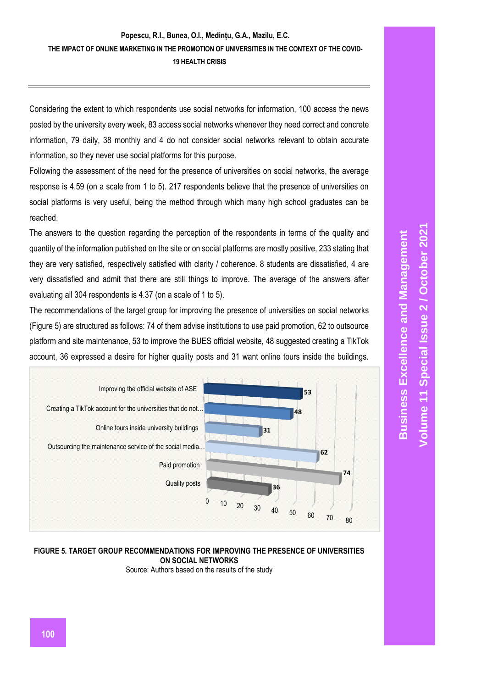Considering the extent to which respondents use social networks for information, 100 access the news posted by the university every week, 83 access social networks whenever they need correct and concrete information, 79 daily, 38 monthly and 4 do not consider social networks relevant to obtain accurate information, so they never use social platforms for this purpose.

Following the assessment of the need for the presence of universities on social networks, the average response is 4.59 (on a scale from 1 to 5). 217 respondents believe that the presence of universities on social platforms is very useful, being the method through which many high school graduates can be reached.

The answers to the question regarding the perception of the respondents in terms of the quality and quantity of the information published on the site or on social platforms are mostly positive, 233 stating that they are very satisfied, respectively satisfied with clarity / coherence. 8 students are dissatisfied, 4 are very dissatisfied and admit that there are still things to improve. The average of the answers after evaluating all 304 respondents is 4.37 (on a scale of 1 to 5).

The recommendations of the target group for improving the presence of universities on social networks (Figure 5) are structured as follows: 74 of them advise institutions to use paid promotion, 62 to outsource platform and site maintenance, 53 to improve the BUES official website, 48 suggested creating a TikTok account, 36 expressed a desire for higher quality posts and 31 want online tours inside the buildings.



## **FIGURE 5. TARGET GROUP RECOMMENDATIONS FOR IMPROVING THE PRESENCE OF UNIVERSITIES ON SOCIAL NETWORKS**

Source: Authors based on the results of the study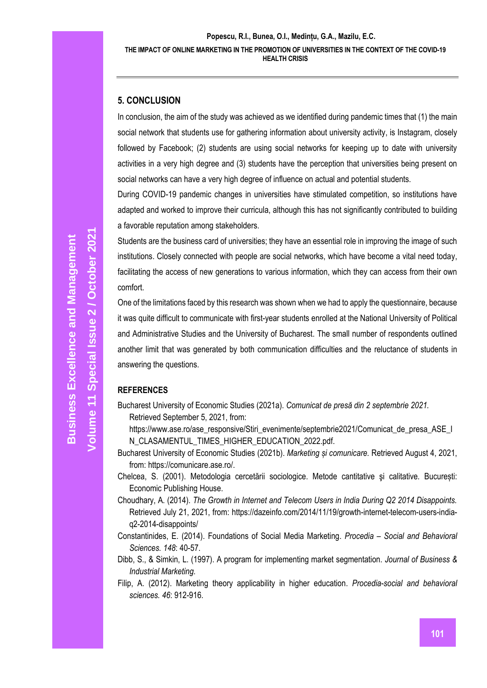## **5. CONCLUSION**

In conclusion, the aim of the study was achieved as we identified during pandemic times that (1) the main social network that students use for gathering information about university activity, is Instagram, closely followed by Facebook; (2) students are using social networks for keeping up to date with university activities in a very high degree and (3) students have the perception that universities being present on social networks can have a very high degree of influence on actual and potential students.

During COVID-19 pandemic changes in universities have stimulated competition, so institutions have adapted and worked to improve their curricula, although this has not significantly contributed to building a favorable reputation among stakeholders.

Students are the business card of universities; they have an essential role in improving the image of such institutions. Closely connected with people are social networks, which have become a vital need today, facilitating the access of new generations to various information, which they can access from their own comfort.

One of the limitations faced by this research was shown when we had to apply the questionnaire, because it was quite difficult to communicate with first-year students enrolled at the National University of Political and Administrative Studies and the University of Bucharest. The small number of respondents outlined another limit that was generated by both communication difficulties and the reluctance of students in answering the questions.

## **REFERENCES**

Bucharest University of Economic Studies (2021a). *Comunicat de presă din 2 septembrie 2021.*  Retrieved September 5, 2021, from:

https://www.ase.ro/ase\_responsive/Stiri\_evenimente/septembrie2021/Comunicat\_de\_presa\_ASE\_I N\_CLASAMENTUL\_TIMES\_HIGHER\_EDUCATION\_2022.pdf.

- Bucharest University of Economic Studies (2021b). *Marketing și comunicare.* Retrieved August 4, 2021, from: https://comunicare.ase.ro/.
- Chelcea, S. (2001). Metodologia cercetării sociologice. Metode cantitative şi calitative*.* București: Economic Publishing House.
- Choudhary, A. (2014). *The Growth in Internet and Telecom Users in India During Q2 2014 Disappoints.*  Retrieved July 21, 2021, from: https://dazeinfo.com/2014/11/19/growth-internet-telecom-users-indiaq2-2014-disappoints/
- Constantinides, E. (2014). Foundations of Social Media Marketing. *Procedia – Social and Behavioral Sciences. 148*: 40-57.
- Dibb, S., & Simkin, L. (1997). A program for implementing market segmentation. *Journal of Business & Industrial Marketing*.
- Filip, A. (2012). Marketing theory applicability in higher education. *Procedia-social and behavioral sciences. 46*: 912-916.